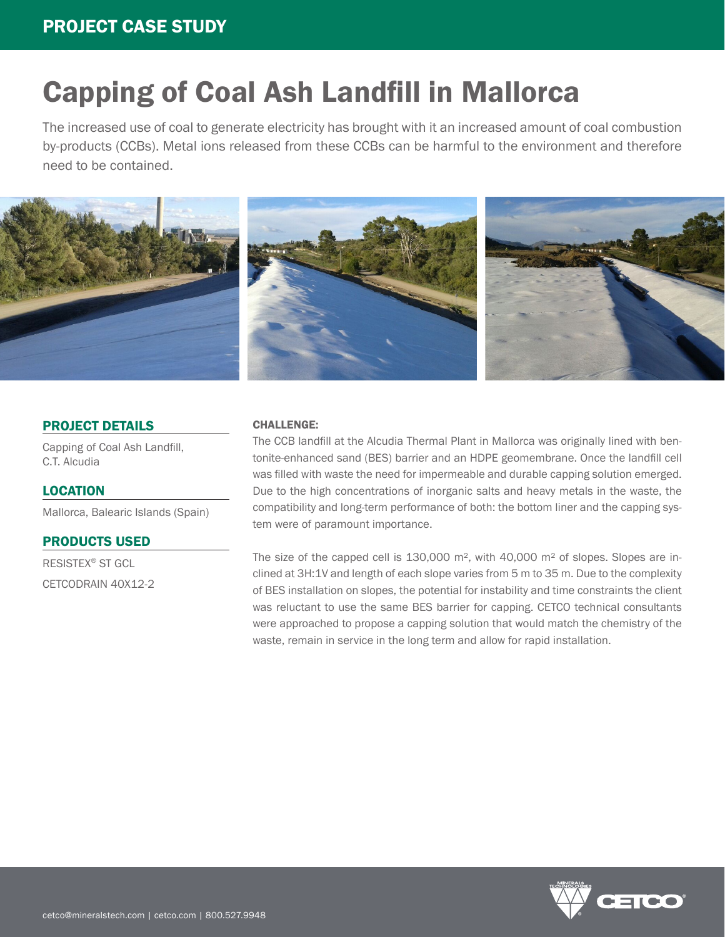# Capping of Coal Ash Landfill in Mallorca

The increased use of coal to generate electricity has brought with it an increased amount of coal combustion by-products (CCBs). Metal ions released from these CCBs can be harmful to the environment and therefore need to be contained.



## PROJECT DETAILS

Capping of Coal Ash Landfill, C.T. Alcudia

### LOCATION

Mallorca, Balearic Islands (Spain)

PRODUCTS USED

RESISTEX® ST GCL CETCODRAIN 40X12-2

#### CHALLENGE:

The CCB landfill at the Alcudia Thermal Plant in Mallorca was originally lined with bentonite-enhanced sand (BES) barrier and an HDPE geomembrane. Once the landfill cell was filled with waste the need for impermeable and durable capping solution emerged. Due to the high concentrations of inorganic salts and heavy metals in the waste, the compatibility and long-term performance of both: the bottom liner and the capping system were of paramount importance.

The size of the capped cell is  $130,000$  m<sup>2</sup>, with  $40,000$  m<sup>2</sup> of slopes. Slopes are inclined at 3H:1V and length of each slope varies from 5 m to 35 m. Due to the complexity of BES installation on slopes, the potential for instability and time constraints the client was reluctant to use the same BES barrier for capping. CETCO technical consultants were approached to propose a capping solution that would match the chemistry of the waste, remain in service in the long term and allow for rapid installation.